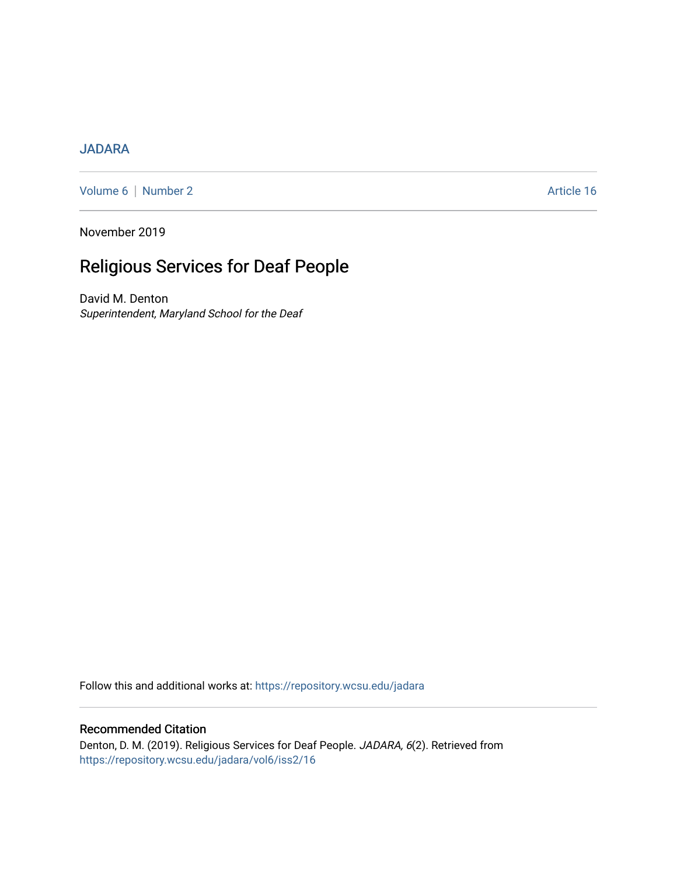# [JADARA](https://repository.wcsu.edu/jadara)

[Volume 6](https://repository.wcsu.edu/jadara/vol6) | [Number 2](https://repository.wcsu.edu/jadara/vol6/iss2) Article 16

November 2019

# Religious Services for Deaf People

David M. Denton Superintendent, Maryland School for the Deaf

Follow this and additional works at: [https://repository.wcsu.edu/jadara](https://repository.wcsu.edu/jadara?utm_source=repository.wcsu.edu%2Fjadara%2Fvol6%2Fiss2%2F16&utm_medium=PDF&utm_campaign=PDFCoverPages)

# Recommended Citation

Denton, D. M. (2019). Religious Services for Deaf People. JADARA, 6(2). Retrieved from [https://repository.wcsu.edu/jadara/vol6/iss2/16](https://repository.wcsu.edu/jadara/vol6/iss2/16?utm_source=repository.wcsu.edu%2Fjadara%2Fvol6%2Fiss2%2F16&utm_medium=PDF&utm_campaign=PDFCoverPages)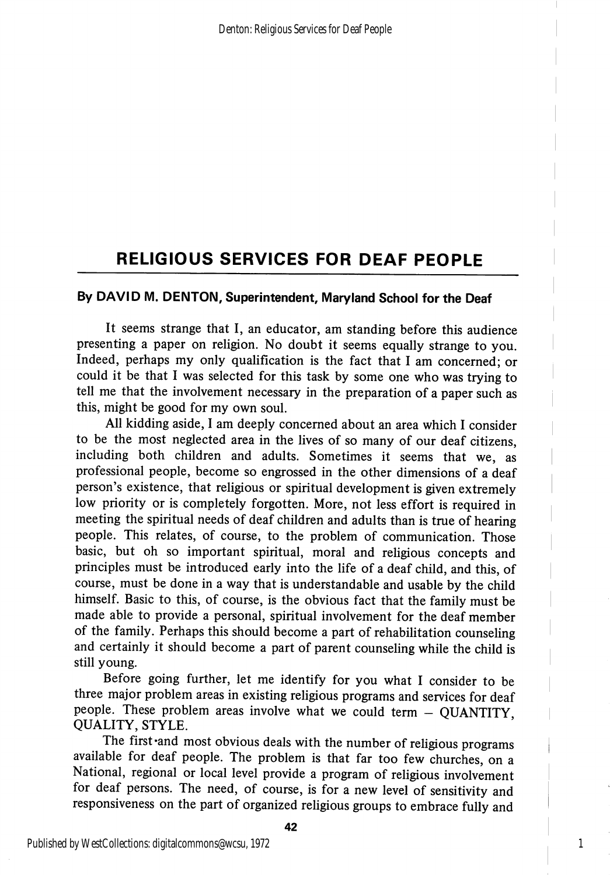## By DAVID M. DENTON, Superintendent, Maryland School for the Deaf

It seems strange that I, an educator, am standing before this audience presenting a paper on religion. No doubt it seems equally strange to you. Indeed, perhaps my only qualification is the fact that I am concerned; or could it be that I was selected for this task by some one who was trying to tell me that the involvement necessary in the preparation of a paper such as this, might be good for my own soul.

All kidding aside, I am deeply concerned about an area which I consider to be the most neglected area in the lives of so many of our deaf citizens, including both children and adults. Sometimes it seems that we, as professional people, become so engrossed in the other dimensions of a deaf person's existence, that religious or spiritual development is given extremely low priority or is completely forgotten. More, not less effort is required in meeting the spiritual needs of deaf children and adults than is true of hearing people. This relates, of course, to the problem of communication. Those basic, but oh so important spiritual, moral and religious concepts and principles must be introduced early into the life of a deaf child, and this, of course, must be done in a way that is understandable and usable by the child himself. Basic to this, of course, is the obvious fact that the family must be made able to provide a personal, spiritual involvement for the deaf member of the family. Perhaps this should become a part of rehabilitation counseling and certainly it should become a part of parent counseling while the child is still young.

Before going further, let me identify for you what I consider to be three major problem areas in existing religious programs and services for deaf people. These problem areas involve what we could term  $-$  QUANTITY, QUALITY, STYLE.

The first 'and most obvious deals with the number of religious programs available for deaf people. The problem is that far too few churches, on a National, regional or local level provide a program of religious involvement for deaf persons. The need, of course, is for a new level of sensitivity and responsiveness on the part of organized religious groups to embrace fully and

1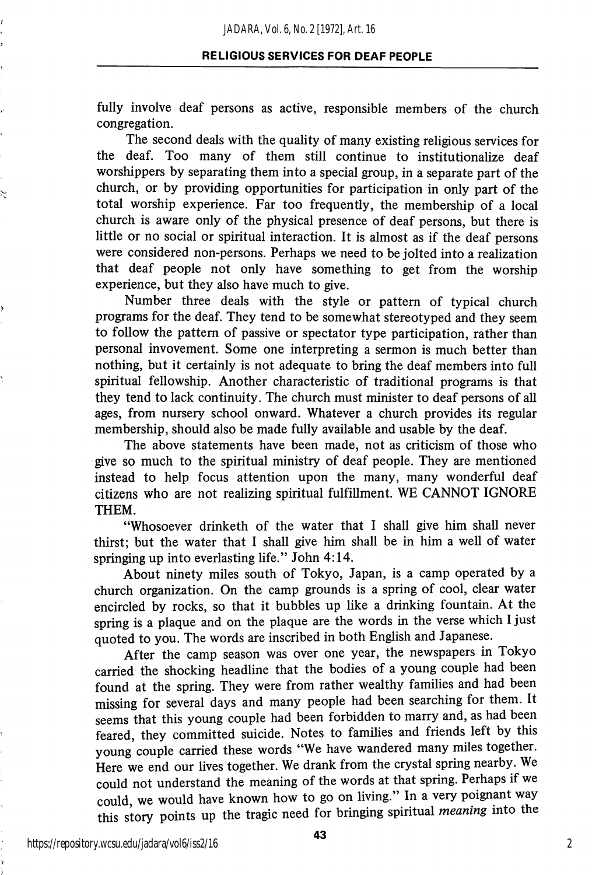fully involve deaf persons as active, responsible members of the church congregation.

The second deals with the quality of many existing religious services for the deaf. Too many of them still continue to institutionalize deaf worshippers by separating them into a special group, in a separate part of the church, or by providing opportunities for participation in only part of the total worship experience. Far too frequently, the membership of a local church is aware only of the physical presence of deaf persons, but there is little or no social or spiritual interaction. It is almost as if the deaf persons were considered non-persons. Perhaps we need to be jolted into a realization that deaf people not only have something to get from the worship experience, but they also have much to give.

Number three deals with the style or pattern of typical church programs for the deaf. They tend to be somewhat stereotyped and they seem to follow the pattern of passive or spectator type participation, rather than personal invovement. Some one interpreting a sermon is much better than nothing, but it certainly is not adequate to bring the deaf members into full spiritual fellowship. Another characteristic of traditional programs is that they tend to lack continuity. The church must minister to deaf persons of all ages, from nursery school onward. Whatever a church provides its regular membership, should also be made fully available and usable by the deaf.

The above statements have been made, not as criticism of those who give so much to the spiritual ministry of deaf people. They are mentioned instead to help focus attention upon the many, many wonderful deaf citizens who are not realizing spiritual fulfillment. WE CANNOT IGNORE THEM.

"Whosoever drinketh of the water that I shall give him shall never thirst; but the water that I shall give him shall be in him a well of water springing up into everlasting life." John 4:14.

About ninety miles south of Tokyo, Japan, is a camp operated by a church organization. On the camp grounds is a spring of cool, clear water encircled by rocks, so that it bubbles up like a drinking fountain. At the spring is a plaque and on the plaque are the words in the verse which I just quoted to you. The words are inscribed in both English and Japanese.

After the camp season was over one year, the newspapers in Tokyo carried the shocking headline that the bodies of a young couple had been found at the spring. They were from rather wealthy families and had been missing for several days and many people had been searching for them. It seems that this young couple had been forbidden to marry and, as had been feared, they committed suicide. Notes to families and friends left by this young couple carried these words "We have wandered many miles together. Here we end our lives together. We drank from the crystal spring nearby. We could not understand the meaning of the words at that spring. Perhaps if we could, we would have known how to go on living." In a very poignant way this story points up the tragic need for bringing spiritual meaning into the

https://repository.wcsu.edu/jadara/vol6/iss2/16

43

2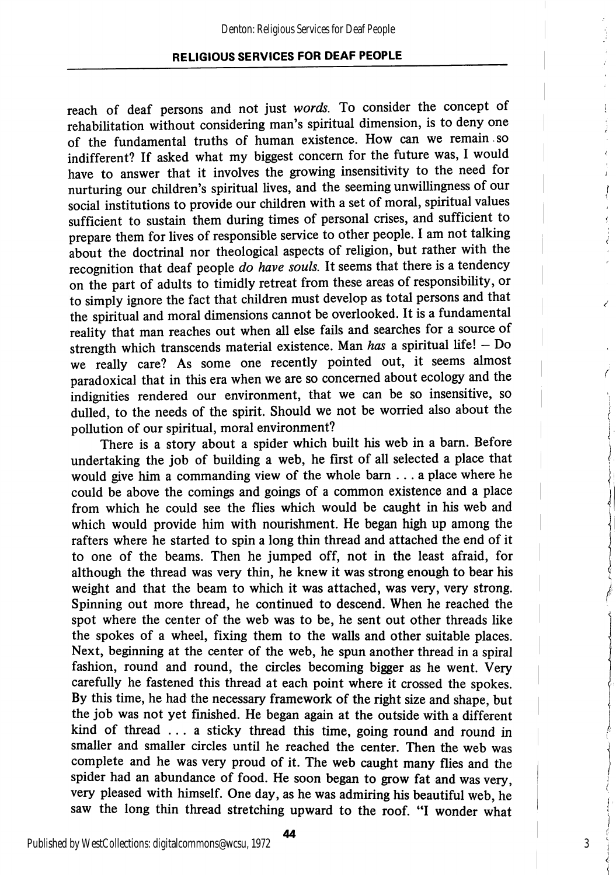reach of deaf persons and not just words. To consider the concept of rehabilitation without considering man's spiritual dimension, is to deny one of the fundamental truths of human existence. How can we remain , so indifferent? If asked what my biggest concern for the future was, I would have to answer that it involves the growing insensitivity to the need for nurturing our children's spiritual lives, and the seeming unwillingness of our social institutions to provide our children with a set of moral, spiritual values sufficient to sustain them during times of personal crises, and sufficient to prepare them for lives of responsible service to other people. I am not talking about the doctrinal nor theological aspects of religion, but rather with the recognition that deaf people do have souls. It seems that there is a tendency on the part of adults to timidly retreat from these areas of responsibility, or to simply ignore the fact that children must develop as total persons and that the spiritual and moral dimensions cannot be overlooked. It is a fundamental reality that man reaches out when all else fails and searches for a source of strength which transcends material existence. Man has a spiritual life!  $-$  Do we really care? As some one recently pointed out, it seems almost paradoxical that in this era when we are so concerned about ecology and the indignities rendered our environment, that we can be so insensitive, so dulled, to the needs of the spirit. Should we not be worried also about the pollution of our spiritual, moral environment?

There is a story about a spider which built his web in a bam. Before undertaking the job of building a web, he first of all selected a place that would give him a commanding view of the whole bam ... a place where he could be above the comings and goings of a common existence and a place from which he could see the flies which would be caught in his web and which would provide him with nourishment. He began high up among the rafters where he started to spin a long thin thread and attached the end of it to one of the beams. Then he jumped off, not in the least afraid, for although the thread was very thin, he knew it was strong enough to bear his weight and that the beam to which it was attached, was very, very strong. Spinning out more thread, he continued to descend. When he reached the spot where the center of the web was to be, he sent out other threads like the spokes of a wheel, fixing them to the walls and other suitable places. Next, beginning at the center of the web, he spun another thread in a spiral fashion, round and round, the circles becoming bigger as he went. Very carefully he fastened this thread at each point where it crossed the spokes. By this time, he had the necessary framework of the right size and shape, but the job was not yet finished. He began again at the outside with a different kind of thread ... a sticky thread this time, going round and round in smaller and smaller circles until he reached the center. Then the web was complete and he was very proud of it. The web caught many flies and the spider had an abundance of food. He soon began to grow fat and was very, very pleased with himself. One day, as he was admiring his beautiful web, he saw the long thin thread stretching upward to the roof. "I wonder what

3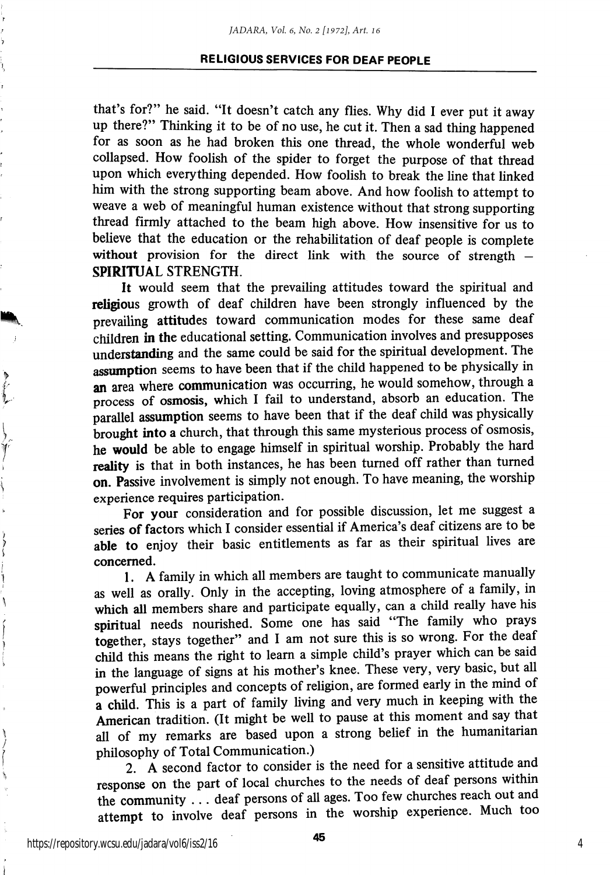that's for?" he said. "It doesn't catch any flies. Why did I ever put it away up there?" Thinking it to be of no use, he cut it. Then a sad thing happened for as soon as he had broken this one thread, the whole wonderful web collapsed. How foolish of the spider to forget the purpose of that thread upon which everything depended. How foolish to break the line that linked him with the strong supporting beam above. And how foolish to attempt to weave a web of meaningful human existence without that strong supporting thread firmly attached to the beam high above. How insensitive for us to believe that the education or the rehabilitation of deaf people is complete without provision for the direct link with the source of strength -SPIRITUAL STRENGTH.

It would seem that the prevailing attitudes toward the spiritual and religious growth of deaf children have been strongly influenced by the prevailing attitudes toward communication modes for these same deaf children in the educational setting. Communication involves and presupposes understanding and the same could be said for the spiritual development. The assumption seems to have been that if the child happened to be physically in an area where communication was occurring, he would somehow, through a process of osmosis, which I fail to understand, absorb an education. The parallel assumption seems to have been that if the deaf child was physically brought into a church, that through this same mysterious process of osmosis, he would be able to engage himself in spiritual worship. Probably the hard reality is that in both instances, he has been turned off rather than turned on. Passive involvement is simply not enough. To have meaning, the worship experience requires participation.

For your consideration and for possible discussion, let me suggest a series of factors which I consider essential if America's deaf citizens are to be able to enjoy their basic entitlements as far as their spiritual lives are concerned.

1. A family in which all members are taught to communicate manually as well as orally. Only in the accepting, loving atmosphere of a family, in which all members share and participate equally, can a child really have his spiritual needs nourished. Some one has said "The family who prays together, stays together" and I am not sure this is so wrong. For the deaf child this means the right to learn a simple child's prayer which can be said in the language of signs at his mother's knee. These very, very basic, but all powerful principles and concepts of religion, are formed early in the mind of a child. This is a part of family living and very much in keeping with the American tradition. (It might be well to pause at this moment and say that all of my remarks are based upon a strong belief in the humanitarian philosophy of Total Communication.)

2. A second factor to consider is the need for a sensitive attitude and response on the part of local churches to the needs of deaf persons within the community .. . deaf persons of all ages. Too few churches reach out and attempt to involve deaf persons in the worship experience. Much too

https://repository.wcsu.edu/jadara/vol6/iss2/16

∖

ì

鸾